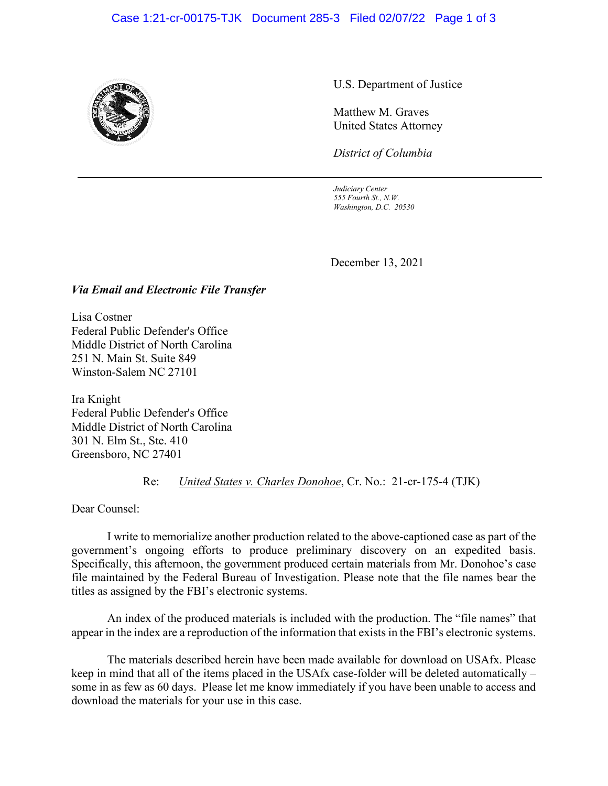#### Case 1:21-cr-00175-TJK Document 285-3 Filed 02/07/22 Page 1 of 3



U.S. Department of Justice

Matthew M. Graves United States Attorney

*District of Columbia*

*Judiciary Center 555 Fourth St., N.W. Washington, D.C. 20530*

December 13, 2021

#### *Via Email and Electronic File Transfer*

Lisa Costner Federal Public Defender's Office Middle District of North Carolina 251 N. Main St. Suite 849 Winston-Salem NC 27101

Ira Knight Federal Public Defender's Office Middle District of North Carolina 301 N. Elm St., Ste. 410 Greensboro, NC 27401

Re: *United States v. Charles Donohoe*, Cr. No.: 21-cr-175-4 (TJK)

Dear Counsel:

I write to memorialize another production related to the above-captioned case as part of the government's ongoing efforts to produce preliminary discovery on an expedited basis. Specifically, this afternoon, the government produced certain materials from Mr. Donohoe's case file maintained by the Federal Bureau of Investigation. Please note that the file names bear the titles as assigned by the FBI's electronic systems.

An index of the produced materials is included with the production. The "file names" that appear in the index are a reproduction of the information that exists in the FBI's electronic systems.

The materials described herein have been made available for download on USAfx. Please keep in mind that all of the items placed in the USAfx case-folder will be deleted automatically – some in as few as 60 days. Please let me know immediately if you have been unable to access and download the materials for your use in this case.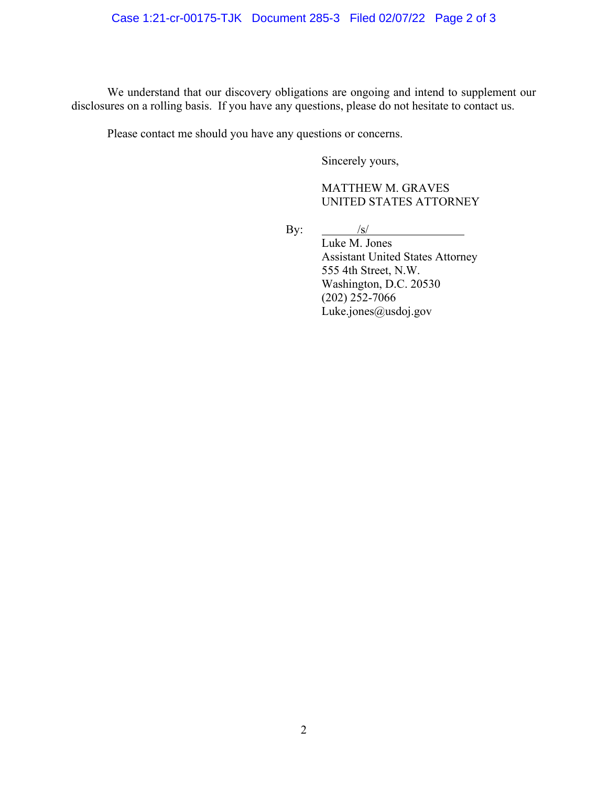### Case 1:21-cr-00175-TJK Document 285-3 Filed 02/07/22 Page 2 of 3

We understand that our discovery obligations are ongoing and intend to supplement our disclosures on a rolling basis. If you have any questions, please do not hesitate to contact us.

Please contact me should you have any questions or concerns.

Sincerely yours,

### MATTHEW M. GRAVES UNITED STATES ATTORNEY

By:  $\frac{|s|}{\sqrt{|s|}}$ 

Luke M. Jones Assistant United States Attorney 555 4th Street, N.W. Washington, D.C. 20530  $(202)$  252-7066 Luke.jones@usdoj.gov